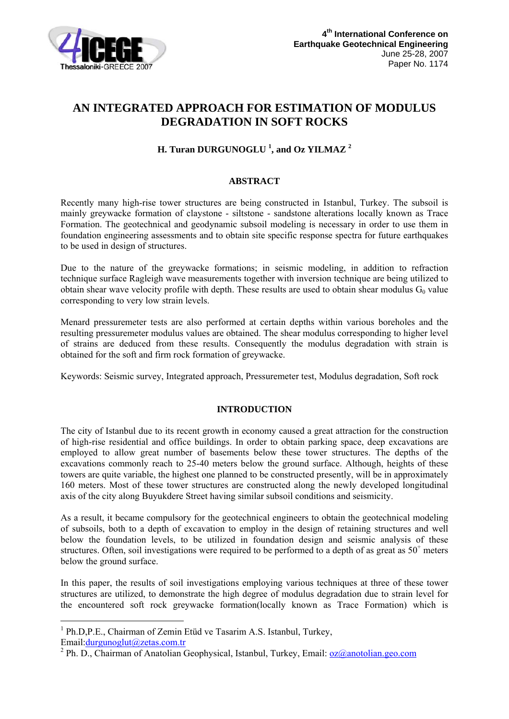

# **AN INTEGRATED APPROACH FOR ESTIMATION OF MODULUS DEGRADATION IN SOFT ROCKS**

# **H. Turan DURGUNOGLU 1 , and Oz YILMAZ <sup>2</sup>**

## **ABSTRACT**

Recently many high-rise tower structures are being constructed in Istanbul, Turkey. The subsoil is mainly greywacke formation of claystone - siltstone - sandstone alterations locally known as Trace Formation. The geotechnical and geodynamic subsoil modeling is necessary in order to use them in foundation engineering assessments and to obtain site specific response spectra for future earthquakes to be used in design of structures.

Due to the nature of the greywacke formations; in seismic modeling, in addition to refraction technique surface Ragleigh wave measurements together with inversion technique are being utilized to obtain shear wave velocity profile with depth. These results are used to obtain shear modulus  $G_0$  value corresponding to very low strain levels.

Menard pressuremeter tests are also performed at certain depths within various boreholes and the resulting pressuremeter modulus values are obtained. The shear modulus corresponding to higher level of strains are deduced from these results. Consequently the modulus degradation with strain is obtained for the soft and firm rock formation of greywacke.

Keywords: Seismic survey, Integrated approach, Pressuremeter test, Modulus degradation, Soft rock

# **INTRODUCTION**

The city of Istanbul due to its recent growth in economy caused a great attraction for the construction of high-rise residential and office buildings. In order to obtain parking space, deep excavations are employed to allow great number of basements below these tower structures. The depths of the excavations commonly reach to 25-40 meters below the ground surface. Although, heights of these towers are quite variable, the highest one planned to be constructed presently, will be in approximately 160 meters. Most of these tower structures are constructed along the newly developed longitudinal axis of the city along Buyukdere Street having similar subsoil conditions and seismicity.

As a result, it became compulsory for the geotechnical engineers to obtain the geotechnical modeling of subsoils, both to a depth of excavation to employ in the design of retaining structures and well below the foundation levels, to be utilized in foundation design and seismic analysis of these structures. Often, soil investigations were required to be performed to a depth of as great as  $50<sup>+</sup>$  meters below the ground surface.

In this paper, the results of soil investigations employing various techniques at three of these tower structures are utilized, to demonstrate the high degree of modulus degradation due to strain level for the encountered soft rock greywacke formation(locally known as Trace Formation) which is

<u>.</u>

<sup>&</sup>lt;sup>1</sup> Ph.D,P.E., Chairman of Zemin Etüd ve Tasarim A.S. Istanbul, Turkey,

Email:durgunoglut@zetas.com.tr

<sup>&</sup>lt;sup>2</sup> Ph. D., Chairman of Anatolian Geophysical, Istanbul, Turkey, Email: <u>oz@anotolian.geo.com</u>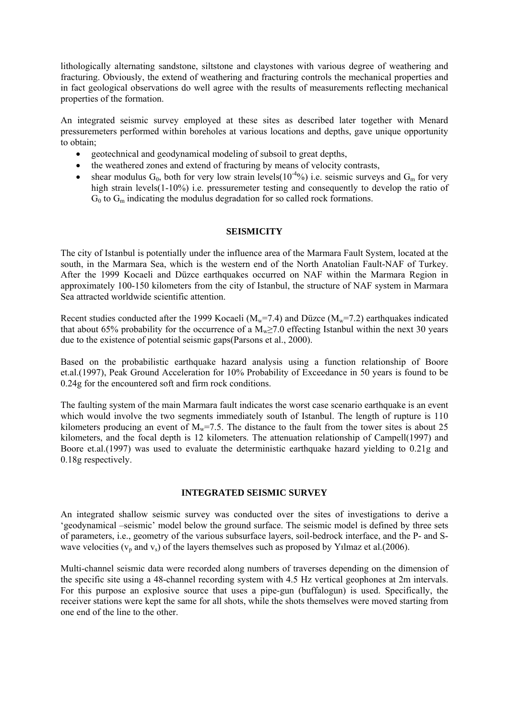lithologically alternating sandstone, siltstone and claystones with various degree of weathering and fracturing. Obviously, the extend of weathering and fracturing controls the mechanical properties and in fact geological observations do well agree with the results of measurements reflecting mechanical properties of the formation.

An integrated seismic survey employed at these sites as described later together with Menard pressuremeters performed within boreholes at various locations and depths, gave unique opportunity to obtain;

- geotechnical and geodynamical modeling of subsoil to great depths,
- the weathered zones and extend of fracturing by means of velocity contrasts,
- shear modulus  $G_0$ , both for very low strain levels( $10^{-4}$ %) i.e. seismic surveys and  $G_m$  for very high strain levels(1-10%) i.e. pressuremeter testing and consequently to develop the ratio of  $G_0$  to  $G_m$  indicating the modulus degradation for so called rock formations.

## **SEISMICITY**

The city of Istanbul is potentially under the influence area of the Marmara Fault System, located at the south, in the Marmara Sea, which is the western end of the North Anatolian Fault-NAF of Turkey. After the 1999 Kocaeli and Düzce earthquakes occurred on NAF within the Marmara Region in approximately 100-150 kilometers from the city of Istanbul, the structure of NAF system in Marmara Sea attracted worldwide scientific attention.

Recent studies conducted after the 1999 Kocaeli ( $M_w$ =7.4) and Düzce ( $M_w$ =7.2) earthquakes indicated that about 65% probability for the occurrence of a  $M<sub>w</sub>$  ≥7.0 effecting Istanbul within the next 30 years due to the existence of potential seismic gaps(Parsons et al., 2000).

Based on the probabilistic earthquake hazard analysis using a function relationship of Boore et.al.(1997), Peak Ground Acceleration for 10% Probability of Exceedance in 50 years is found to be 0.24g for the encountered soft and firm rock conditions.

The faulting system of the main Marmara fault indicates the worst case scenario earthquake is an event which would involve the two segments immediately south of Istanbul. The length of rupture is 110 kilometers producing an event of  $M_w$ =7.5. The distance to the fault from the tower sites is about 25 kilometers, and the focal depth is 12 kilometers. The attenuation relationship of Campell(1997) and Boore et.al.(1997) was used to evaluate the deterministic earthquake hazard yielding to 0.21g and 0.18g respectively.

### **INTEGRATED SEISMIC SURVEY**

An integrated shallow seismic survey was conducted over the sites of investigations to derive a 'geodynamical –seismic' model below the ground surface. The seismic model is defined by three sets of parameters, i.e., geometry of the various subsurface layers, soil-bedrock interface, and the P- and Swave velocities ( $v_p$  and  $v_s$ ) of the layers themselves such as proposed by Yılmaz et al.(2006).

Multi-channel seismic data were recorded along numbers of traverses depending on the dimension of the specific site using a 48-channel recording system with 4.5 Hz vertical geophones at 2m intervals. For this purpose an explosive source that uses a pipe-gun (buffalogun) is used. Specifically, the receiver stations were kept the same for all shots, while the shots themselves were moved starting from one end of the line to the other.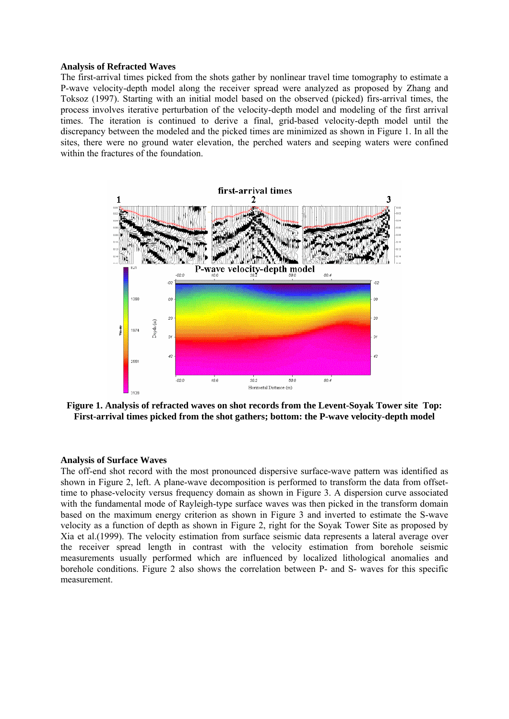#### **Analysis of Refracted Waves**

The first-arrival times picked from the shots gather by nonlinear travel time tomography to estimate a P-wave velocity-depth model along the receiver spread were analyzed as proposed by Zhang and Toksoz (1997). Starting with an initial model based on the observed (picked) firs-arrival times, the process involves iterative perturbation of the velocity-depth model and modeling of the first arrival times. The iteration is continued to derive a final, grid-based velocity-depth model until the discrepancy between the modeled and the picked times are minimized as shown in Figure 1. In all the sites, there were no ground water elevation, the perched waters and seeping waters were confined within the fractures of the foundation.



**Figure 1. Analysis of refracted waves on shot records from the Levent-Soyak Tower site Top: First-arrival times picked from the shot gathers; bottom: the P-wave velocity-depth model** 

#### **Analysis of Surface Waves**

The off-end shot record with the most pronounced dispersive surface-wave pattern was identified as shown in Figure 2, left. A plane-wave decomposition is performed to transform the data from offsettime to phase-velocity versus frequency domain as shown in Figure 3. A dispersion curve associated with the fundamental mode of Rayleigh-type surface waves was then picked in the transform domain based on the maximum energy criterion as shown in Figure 3 and inverted to estimate the S-wave velocity as a function of depth as shown in Figure 2, right for the Soyak Tower Site as proposed by Xia et al.(1999). The velocity estimation from surface seismic data represents a lateral average over the receiver spread length in contrast with the velocity estimation from borehole seismic measurements usually performed which are influenced by localized lithological anomalies and borehole conditions. Figure 2 also shows the correlation between P- and S- waves for this specific measurement.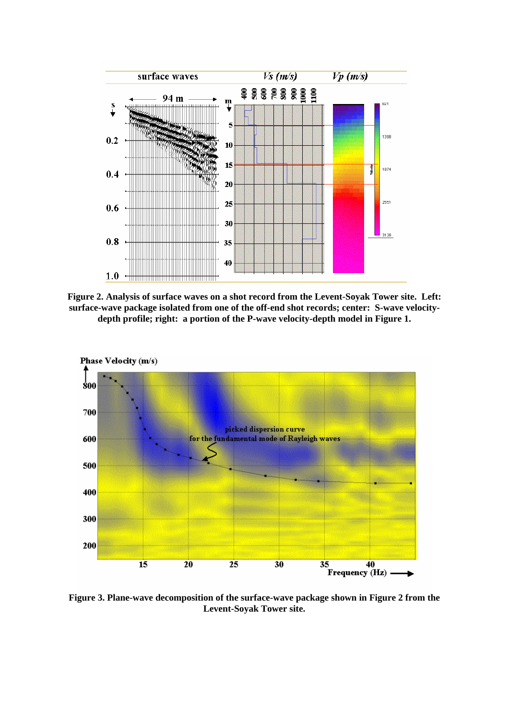

**Figure 2. Analysis of surface waves on a shot record from the Levent-Soyak Tower site. Left: surface-wave package isolated from one of the off-end shot records; center: S-wave velocitydepth profile; right: a portion of the P-wave velocity-depth model in Figure 1.** 



**Figure 3. Plane-wave decomposition of the surface-wave package shown in Figure 2 from the Levent-Soyak Tower site.**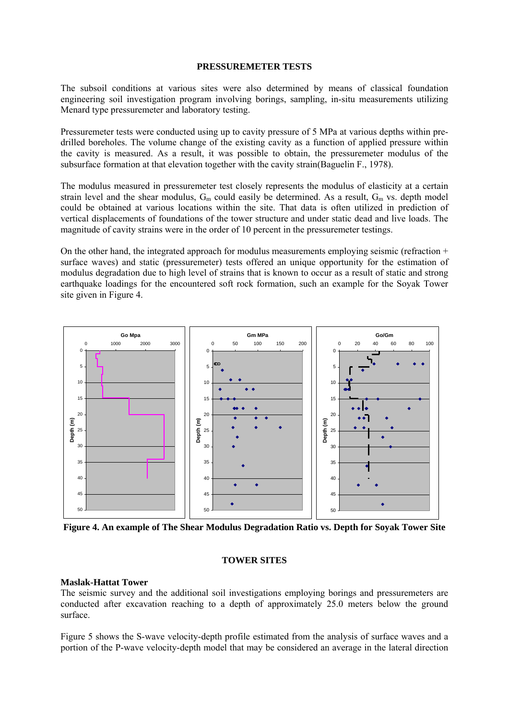#### **PRESSUREMETER TESTS**

The subsoil conditions at various sites were also determined by means of classical foundation engineering soil investigation program involving borings, sampling, in-situ measurements utilizing Menard type pressuremeter and laboratory testing.

Pressuremeter tests were conducted using up to cavity pressure of 5 MPa at various depths within predrilled boreholes. The volume change of the existing cavity as a function of applied pressure within the cavity is measured. As a result, it was possible to obtain, the pressuremeter modulus of the subsurface formation at that elevation together with the cavity strain(Baguelin F., 1978).

The modulus measured in pressuremeter test closely represents the modulus of elasticity at a certain strain level and the shear modulus,  $G_m$  could easily be determined. As a result,  $G_m$  vs. depth model could be obtained at various locations within the site. That data is often utilized in prediction of vertical displacements of foundations of the tower structure and under static dead and live loads. The magnitude of cavity strains were in the order of 10 percent in the pressuremeter testings.

On the other hand, the integrated approach for modulus measurements employing seismic (refraction  $+$ surface waves) and static (pressuremeter) tests offered an unique opportunity for the estimation of modulus degradation due to high level of strains that is known to occur as a result of static and strong earthquake loadings for the encountered soft rock formation, such an example for the Soyak Tower site given in Figure 4.



**Figure 4. An example of The Shear Modulus Degradation Ratio vs. Depth for Soyak Tower Site** 

## **TOWER SITES**

### **Maslak-Hattat Tower**

The seismic survey and the additional soil investigations employing borings and pressuremeters are conducted after excavation reaching to a depth of approximately 25.0 meters below the ground surface.

Figure 5 shows the S-wave velocity-depth profile estimated from the analysis of surface waves and a portion of the P-wave velocity-depth model that may be considered an average in the lateral direction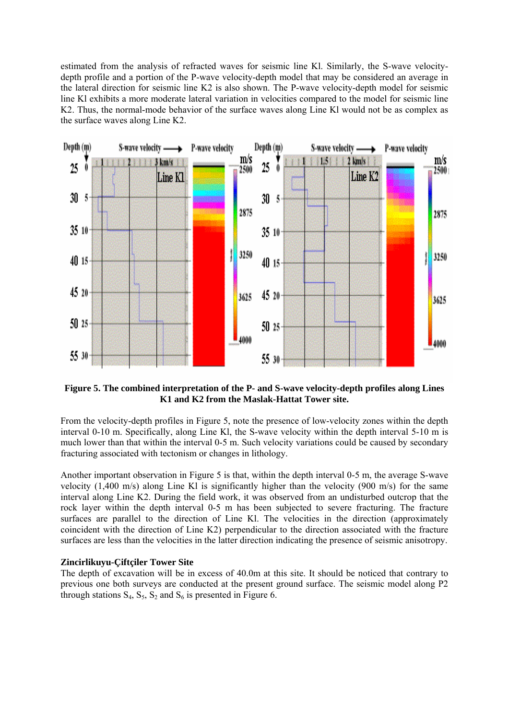estimated from the analysis of refracted waves for seismic line Kl. Similarly, the S-wave velocitydepth profile and a portion of the P-wave velocity-depth model that may be considered an average in the lateral direction for seismic line K2 is also shown. The P-wave velocity-depth model for seismic line Kl exhibits a more moderate lateral variation in velocities compared to the model for seismic line K2. Thus, the normal-mode behavior of the surface waves along Line Kl would not be as complex as the surface waves along Line K2.



**Figure 5. The combined interpretation of the P- and S-wave velocity-depth profiles along Lines K1 and K2 from the Maslak-Hattat Tower site.** 

From the velocity-depth profiles in Figure 5, note the presence of low-velocity zones within the depth interval 0-10 m. Specifically, along Line Kl, the S-wave velocity within the depth interval 5-10 m is much lower than that within the interval 0-5 m. Such velocity variations could be caused by secondary fracturing associated with tectonism or changes in lithology.

Another important observation in Figure 5 is that, within the depth interval 0-5 m, the average S-wave velocity (1,400 m/s) along Line Kl is significantly higher than the velocity (900 m/s) for the same interval along Line K2. During the field work, it was observed from an undisturbed outcrop that the rock layer within the depth interval 0-5 m has been subjected to severe fracturing. The fracture surfaces are parallel to the direction of Line Kl. The velocities in the direction (approximately coincident with the direction of Line K2) perpendicular to the direction associated with the fracture surfaces are less than the velocities in the latter direction indicating the presence of seismic anisotropy.

### **Zincirlikuyu-Çiftçiler Tower Site**

The depth of excavation will be in excess of 40.0m at this site. It should be noticed that contrary to previous one both surveys are conducted at the present ground surface. The seismic model along P2 through stations  $S_4$ ,  $S_5$ ,  $S_2$  and  $S_6$  is presented in Figure 6.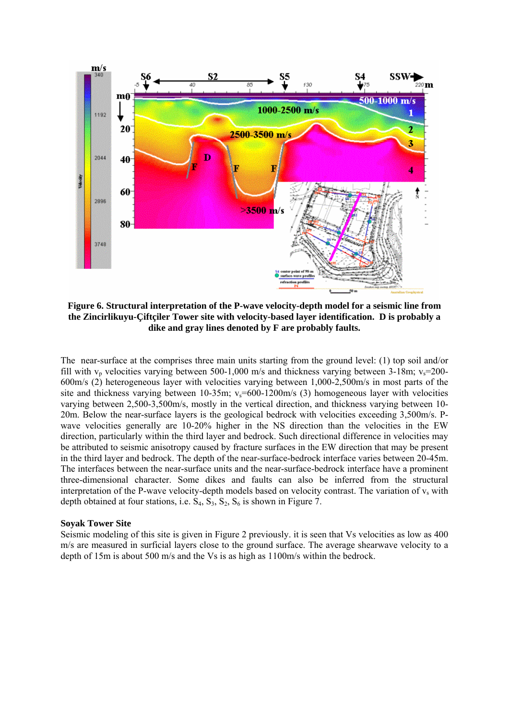

**Figure 6. Structural interpretation of the P-wave velocity-depth model for a seismic line from the Zincirlikuyu-Çiftçiler Tower site with velocity-based layer identification. D is probably a dike and gray lines denoted by F are probably faults.** 

The near-surface at the comprises three main units starting from the ground level: (1) top soil and/or fill with  $v_p$  velocities varying between 500-1,000 m/s and thickness varying between 3-18m;  $v_s$ =200-600m/s (2) heterogeneous layer with velocities varying between 1,000-2,500m/s in most parts of the site and thickness varying between 10-35m;  $v_s$ =600-1200m/s (3) homogeneous layer with velocities varying between 2,500-3,500m/s, mostly in the vertical direction, and thickness varying between 10- 20m. Below the near-surface layers is the geological bedrock with velocities exceeding 3,500m/s. Pwave velocities generally are 10-20% higher in the NS direction than the velocities in the EW direction, particularly within the third layer and bedrock. Such directional difference in velocities may be attributed to seismic anisotropy caused by fracture surfaces in the EW direction that may be present in the third layer and bedrock. The depth of the near-surface-bedrock interface varies between 20-45m. The interfaces between the near-surface units and the near-surface-bedrock interface have a prominent three-dimensional character. Some dikes and faults can also be inferred from the structural interpretation of the P-wave velocity-depth models based on velocity contrast. The variation of  $v_s$  with depth obtained at four stations, i.e.  $S_4$ ,  $S_3$ ,  $S_2$ ,  $S_6$  is shown in Figure 7.

#### **Soyak Tower Site**

Seismic modeling of this site is given in Figure 2 previously. it is seen that Vs velocities as low as 400 m/s are measured in surficial layers close to the ground surface. The average shearwave velocity to a depth of 15m is about 500 m/s and the Vs is as high as 1100m/s within the bedrock.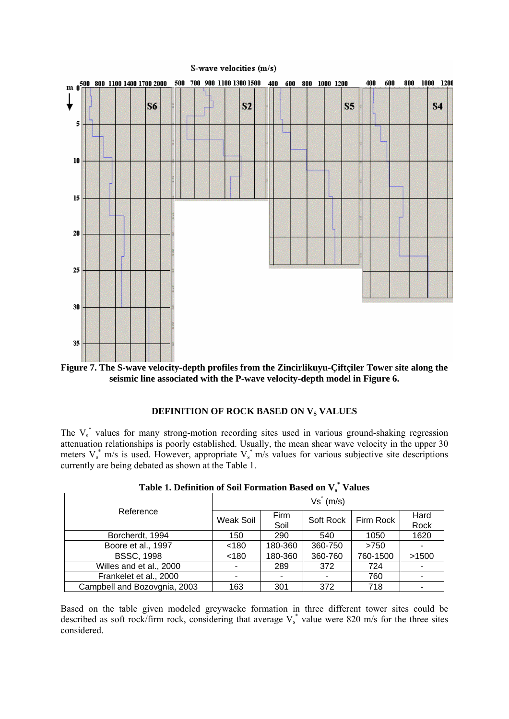

**Figure 7. The S-wave velocity-depth profiles from the Zincirlikuyu-Çiftçiler Tower site along the seismic line associated with the P-wave velocity-depth model in Figure 6.** 

### **DEFINITION OF ROCK BASED ON V<sub>S</sub> VALUES**

The  $V_s^*$  values for many strong-motion recording sites used in various ground-shaking regression attenuation relationships is poorly established. Usually, the mean shear wave velocity in the upper 30 meters  $V_s^*$  m/s is used. However, appropriate  $V_s^*$  m/s values for various subjective site descriptions currently are being debated as shown at the Table 1.

| Table 1. Definition of Son Formation Dased on Ve Values |              |         |           |           |       |  |
|---------------------------------------------------------|--------------|---------|-----------|-----------|-------|--|
| Reference                                               | $Vs^* (m/s)$ |         |           |           |       |  |
|                                                         | Weak Soil    | Firm    | Soft Rock | Firm Rock | Hard  |  |
|                                                         |              | Soil    |           |           | Rock  |  |
| Borcherdt, 1994                                         | 150          | 290     | 540       | 1050      | 1620  |  |
| Boore et al., 1997                                      | < 180        | 180-360 | 360-750   | >750      |       |  |
| <b>BSSC, 1998</b>                                       | < 180        | 180-360 | 360-760   | 760-1500  | >1500 |  |
| Willes and et al., 2000                                 |              | 289     | 372       | 724       |       |  |
| Frankelet et al., 2000                                  |              |         |           | 760       |       |  |
| Campbell and Bozovgnia, 2003                            | 163          | 301     | 372       | 718       |       |  |

Table 1. Definition of Soil Formation Based on  $V_s^*$  Values

Based on the table given modeled greywacke formation in three different tower sites could be described as soft rock/firm rock, considering that average  $V_s^*$  value were 820 m/s for the three sites considered.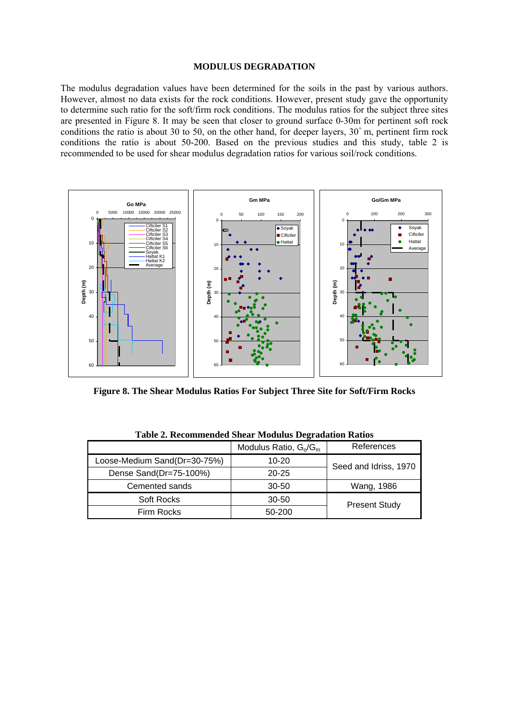#### **MODULUS DEGRADATION**

The modulus degradation values have been determined for the soils in the past by various authors. However, almost no data exists for the rock conditions. However, present study gave the opportunity to determine such ratio for the soft/firm rock conditions. The modulus ratios for the subject three sites are presented in Figure 8. It may be seen that closer to ground surface 0-30m for pertinent soft rock conditions the ratio is about 30 to 50, on the other hand, for deeper layers,  $30^+$  m, pertinent firm rock conditions the ratio is about 50-200. Based on the previous studies and this study, table 2 is recommended to be used for shear modulus degradation ratios for various soil/rock conditions.



**Figure 8. The Shear Modulus Ratios For Subject Three Site for Soft/Firm Rocks** 

|                              | $\overline{\phantom{a}}$ |                       |  |  |  |
|------------------------------|--------------------------|-----------------------|--|--|--|
|                              | Modulus Ratio, $G_0/G_m$ | References            |  |  |  |
| Loose-Medium Sand(Dr=30-75%) | $10 - 20$                | Seed and Idriss, 1970 |  |  |  |
| Dense Sand(Dr=75-100%)       | $20 - 25$                |                       |  |  |  |
| Cemented sands               | 30-50                    | Wang, 1986            |  |  |  |
| Soft Rocks                   | 30-50                    | <b>Present Study</b>  |  |  |  |
| Firm Rocks                   | $50-200$                 |                       |  |  |  |

**Table 2. Recommended Shear Modulus Degradation Ratios**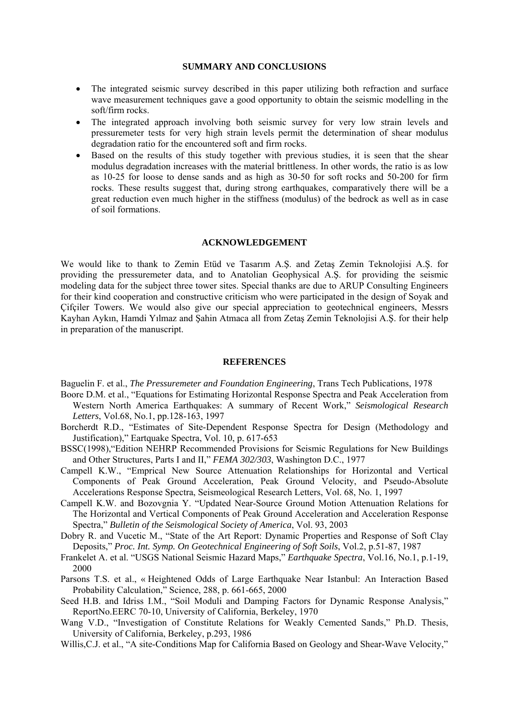#### **SUMMARY AND CONCLUSIONS**

- The integrated seismic survey described in this paper utilizing both refraction and surface wave measurement techniques gave a good opportunity to obtain the seismic modelling in the soft/firm rocks.
- The integrated approach involving both seismic survey for very low strain levels and pressuremeter tests for very high strain levels permit the determination of shear modulus degradation ratio for the encountered soft and firm rocks.
- Based on the results of this study together with previous studies, it is seen that the shear modulus degradation increases with the material brittleness. In other words, the ratio is as low as 10-25 for loose to dense sands and as high as 30-50 for soft rocks and 50-200 for firm rocks. These results suggest that, during strong earthquakes, comparatively there will be a great reduction even much higher in the stiffness (modulus) of the bedrock as well as in case of soil formations.

#### **ACKNOWLEDGEMENT**

We would like to thank to Zemin Etüd ve Tasarım A.Ş. and Zetaş Zemin Teknolojisi A.Ş. for providing the pressuremeter data, and to Anatolian Geophysical A.Ş. for providing the seismic modeling data for the subject three tower sites. Special thanks are due to ARUP Consulting Engineers for their kind cooperation and constructive criticism who were participated in the design of Soyak and Çifçiler Towers. We would also give our special appreciation to geotechnical engineers, Messrs Kayhan Aykın, Hamdi Yılmaz and Şahin Atmaca all from Zetaş Zemin Teknolojisi A.Ş. for their help in preparation of the manuscript.

#### **REFERENCES**

Baguelin F. et al., *The Pressuremeter and Foundation Engineering*, Trans Tech Publications, 1978

- Boore D.M. et al., "Equations for Estimating Horizontal Response Spectra and Peak Acceleration from Western North America Earthquakes: A summary of Recent Work," *Seismological Research Letters*, Vol.68, No.1, pp.128-163, 1997
- Borcherdt R.D., "Estimates of Site-Dependent Response Spectra for Design (Methodology and Justification)," Eartquake Spectra, Vol. 10, p. 617-653
- BSSC(1998),"Edition NEHRP Recommended Provisions for Seismic Regulations for New Buildings and Other Structures, Parts I and II," *FEMA 302/303*, Washington D.C., 1977
- Campell K.W., "Emprical New Source Attenuation Relationships for Horizontal and Vertical Components of Peak Ground Acceleration, Peak Ground Velocity, and Pseudo-Absolute Accelerations Response Spectra, Seismeological Research Letters, Vol. 68, No. 1, 1997
- Campell K.W. and Bozovgnia Y. "Updated Near-Source Ground Motion Attenuation Relations for The Horizontal and Vertical Components of Peak Ground Acceleration and Acceleration Response Spectra," *Bulletin of the Seismological Society of America*, Vol. 93, 2003
- Dobry R. and Vucetic M., "State of the Art Report: Dynamic Properties and Response of Soft Clay Deposits," *Proc. Int. Symp. On Geotechnical Engineering of Soft Soils*, Vol.2, p.51-87, 1987
- Frankelet A. et al. "USGS National Seismic Hazard Maps," *Earthquake Spectra*, Vol.16, No.1, p.1-19, 2000
- Parsons T.S. et al., « Heightened Odds of Large Earthquake Near Istanbul: An Interaction Based Probability Calculation," Science, 288, p. 661-665, 2000
- Seed H.B. and Idriss I.M., "Soil Moduli and Damping Factors for Dynamic Response Analysis," ReportNo.EERC 70-10, University of California, Berkeley, 1970
- Wang V.D., "Investigation of Constitute Relations for Weakly Cemented Sands," Ph.D. Thesis, University of California, Berkeley, p.293, 1986
- Willis, C.J. et al., "A site-Conditions Map for California Based on Geology and Shear-Wave Velocity."